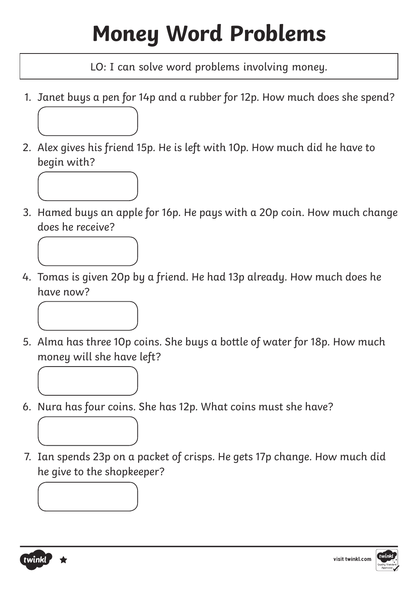# **Money Word Problems**

LO: I can solve word problems involving money.

- 1. Janet buys a pen for 14p and a rubber for 12p. How much does she spend?
- 2. Alex gives his friend 15p. He is left with 10p. How much did he have to begin with?



3. Hamed buys an apple for 16p. He pays with a 20p coin. How much change does he receive?



4. Tomas is given 20p by a friend. He had 13p already. How much does he have now?



- 5. Alma has three 10p coins. She buys a bottle of water for 18p. How much money will she have left?
- 6. Nura has four coins. She has 12p. What coins must she have?
- 7. Ian spends 23p on a packet of crisps. He gets 17p change. How much did he give to the shopkeeper?

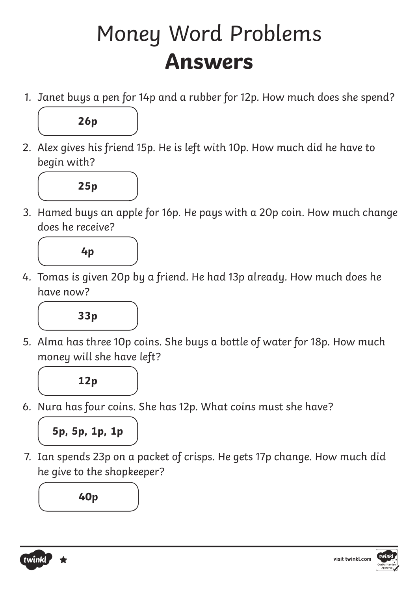#### Money Word Problems **Answers**

1. Janet buys a pen for 14p and a rubber for 12p. How much does she spend?



2. Alex gives his friend 15p. He is left with 10p. How much did he have to begin with?



3. Hamed buys an apple for 16p. He pays with a 20p coin. How much change does he receive?



4. Tomas is given 20p by a friend. He had 13p already. How much does he have now?



5. Alma has three 10p coins. She buys a bottle of water for 18p. How much money will she have left?



6. Nura has four coins. She has 12p. What coins must she have?



7. Ian spends 23p on a packet of crisps. He gets 17p change. How much did he give to the shopkeeper?

**40p**

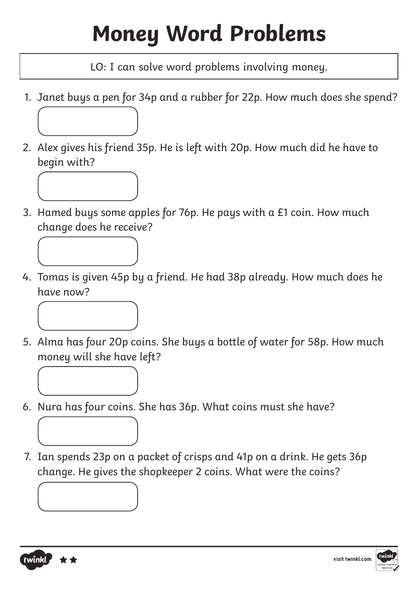# **Money Word Problems**

LO: I can solve word problems involving money.

- 1. Janet buys a pen for 34p and a rubber for 22p. How much does she spend?
- 2. Alex gives his friend 35p. He is left with 20p. How much did he have to begin with?



3. Hamed buys some apples for 76p. He pays with a £1 coin. How much change does he receive?



4. Tomas is given 45p by a friend. He had 38p already. How much does he have now?



- 5. Alma has four 20p coins. She buys a bottle of water for 58p. How much money will she have left?
- 6. Nura has four coins. She has 36p. What coins must she have?
- 7. Ian spends 23p on a packet of crisps and 41p on a drink. He gets 36p change. He gives the shopkeeper 2 coins. What were the coins?



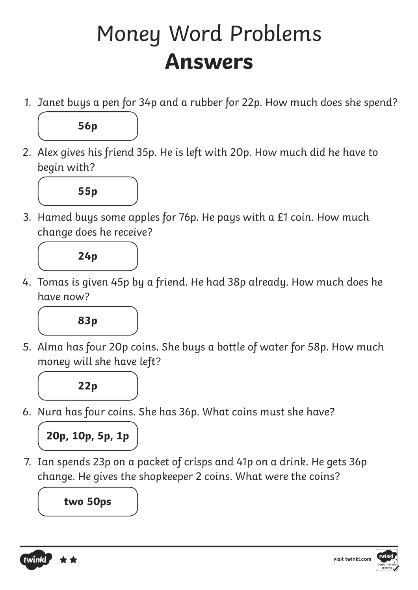#### Money Word Problems **Answers**

1. Janet buys a pen for 34p and a rubber for 22p. How much does she spend?



2. Alex gives his friend 35p. He is left with 20p. How much did he have to begin with?



3. Hamed buys some apples for 76p. He pays with a £1 coin. How much change does he receive?



4. Tomas is given 45p by a friend. He had 38p already. How much does he have now?



5. Alma has four 20p coins. She buys a bottle of water for 58p. How much money will she have left?



6. Nura has four coins. She has 36p. What coins must she have?



7. Ian spends 23p on a packet of crisps and 41p on a drink. He gets 36p change. He gives the shopkeeper 2 coins. What were the coins?

**two 50ps**

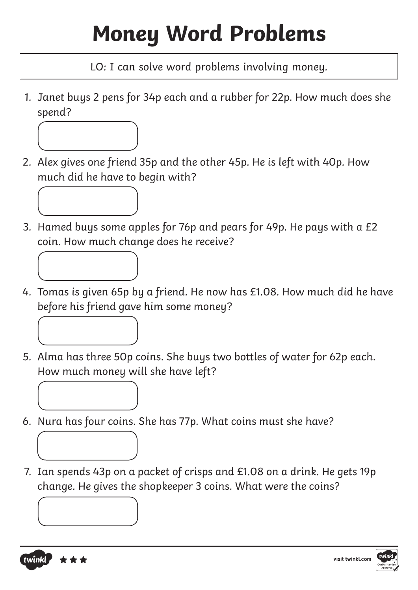# **Money Word Problems**

LO: I can solve word problems involving money.

1. Janet buys 2 pens for 34p each and a rubber for 22p. How much does she spend?



- 2. Alex gives one friend 35p and the other 45p. He is left with 40p. How much did he have to begin with?
- 3. Hamed buys some apples for 76p and pears for 49p. He pays with a £2 coin. How much change does he receive?
- 4. Tomas is given 65p by a friend. He now has £1.08. How much did he have before his friend gave him some money?



- 5. Alma has three 50p coins. She buys two bottles of water for 62p each. How much money will she have left?
- 6. Nura has four coins. She has 77p. What coins must she have?
- 7. Ian spends 43p on a packet of crisps and £1.08 on a drink. He gets 19p change. He gives the shopkeeper 3 coins. What were the coins?